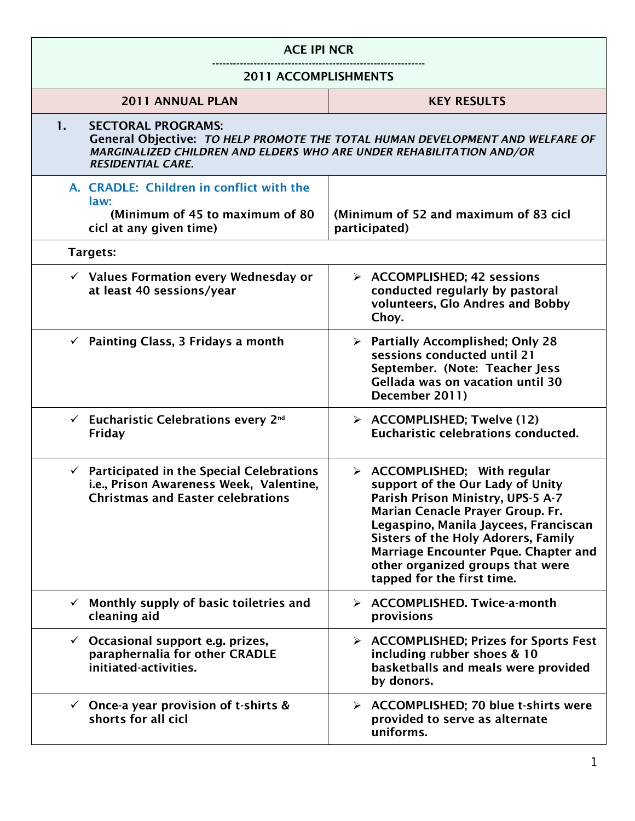| <b>ACE IPI NCR</b>                                                                                                                           |                                                                                                                                                                                                                                                                                                                                                                  |
|----------------------------------------------------------------------------------------------------------------------------------------------|------------------------------------------------------------------------------------------------------------------------------------------------------------------------------------------------------------------------------------------------------------------------------------------------------------------------------------------------------------------|
| <b>2011 ACCOMPLISHMENTS</b>                                                                                                                  |                                                                                                                                                                                                                                                                                                                                                                  |
| 2011 ANNUAL PLAN                                                                                                                             | <b>KEY RESULTS</b>                                                                                                                                                                                                                                                                                                                                               |
| <b>SECTORAL PROGRAMS:</b><br>1.<br>MARGINALIZED CHILDREN AND ELDERS WHO ARE UNDER REHABILITATION AND/OR<br><b>RESIDENTIAL CARE.</b>          | General Objective: TO HELP PROMOTE THE TOTAL HUMAN DEVELOPMENT AND WELFARE OF                                                                                                                                                                                                                                                                                    |
| A. CRADLE: Children in conflict with the<br>law:<br>(Minimum of 45 to maximum of 80)<br>cicl at any given time)                              | (Minimum of 52 and maximum of 83 cicl<br>participated)                                                                                                                                                                                                                                                                                                           |
| Targets:                                                                                                                                     |                                                                                                                                                                                                                                                                                                                                                                  |
| $\checkmark$ Values Formation every Wednesday or<br>at least 40 sessions/year                                                                | $\triangleright$ ACCOMPLISHED; 42 sessions<br>conducted regularly by pastoral<br>volunteers, Glo Andres and Bobby<br>Chov.                                                                                                                                                                                                                                       |
| $\checkmark$ Painting Class, 3 Fridays a month                                                                                               | $\triangleright$ Partially Accomplished; Only 28<br>sessions conducted until 21<br>September. (Note: Teacher Jess<br>Gellada was on vacation until 30<br>December 2011)                                                                                                                                                                                          |
| $\checkmark$ Eucharistic Celebrations every 2 <sup>nd</sup><br>Friday                                                                        | $\triangleright$ ACCOMPLISHED; Twelve (12)<br>Eucharistic celebrations conducted.                                                                                                                                                                                                                                                                                |
| $\checkmark$ Participated in the Special Celebrations<br>i.e., Prison Awareness Week, Valentine,<br><b>Christmas and Easter celebrations</b> | $\triangleright$ ACCOMPLISHED; With regular<br>support of the Our Lady of Unity<br>Parish Prison Ministry, UPS-5 A-7<br>Marian Cenacle Prayer Group. Fr.<br>Legaspino, Manila Jaycees, Franciscan<br><b>Sisters of the Holy Adorers, Family</b><br><b>Marriage Encounter Pque. Chapter and</b><br>other organized groups that were<br>tapped for the first time. |
| $\checkmark$ Monthly supply of basic toiletries and<br>cleaning aid                                                                          | > ACCOMPLISHED. Twice-a-month<br>provisions                                                                                                                                                                                                                                                                                                                      |
| $\checkmark$ Occasional support e.g. prizes,<br>paraphernalia for other CRADLE<br>initiated-activities.                                      | $\triangleright$ ACCOMPLISHED; Prizes for Sports Fest<br>including rubber shoes & 10<br>basketballs and meals were provided<br>by donors.                                                                                                                                                                                                                        |
| $\checkmark$ Once-a year provision of t-shirts &<br>shorts for all cicl                                                                      | > ACCOMPLISHED; 70 blue t-shirts were<br>provided to serve as alternate<br>uniforms.                                                                                                                                                                                                                                                                             |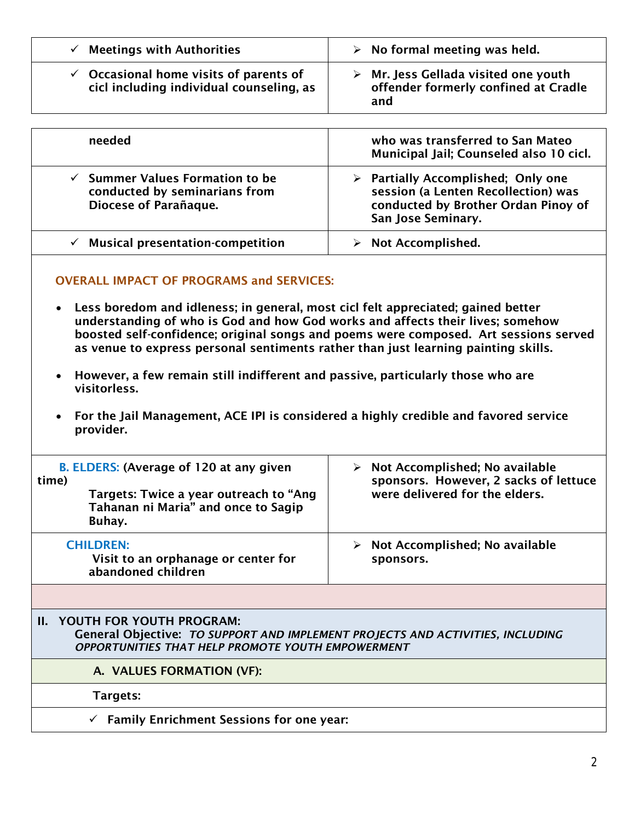| <b>Meetings with Authorities</b>                                                              | $\triangleright$ No formal meeting was held.                                                       |
|-----------------------------------------------------------------------------------------------|----------------------------------------------------------------------------------------------------|
| $\checkmark$ Occasional home visits of parents of<br>cicl including individual counseling, as | $\triangleright$ Mr. Jess Gellada visited one youth<br>offender formerly confined at Cradle<br>and |

| needed                                                                                               | who was transferred to San Mateo<br>Municipal Jail; Counseled also 10 cicl.                                                                           |
|------------------------------------------------------------------------------------------------------|-------------------------------------------------------------------------------------------------------------------------------------------------------|
| $\checkmark$ Summer Values Formation to be<br>conducted by seminarians from<br>Diocese of Parañaque. | $\triangleright$ Partially Accomplished; Only one<br>session (a Lenten Recollection) was<br>conducted by Brother Ordan Pinoy of<br>San Jose Seminary. |
| <b>Musical presentation-competition</b><br>✓                                                         | Not Accomplished.                                                                                                                                     |

## OVERALL IMPACT OF PROGRAMS and SERVICES:

- Less boredom and idleness; in general, most cicl felt appreciated; gained better understanding of who is God and how God works and affects their lives; somehow boosted self-confidence; original songs and poems were composed. Art sessions served as venue to express personal sentiments rather than just learning painting skills.
- However, a few remain still indifferent and passive, particularly those who are visitorless.
- For the Jail Management, ACE IPI is considered a highly credible and favored service provider.

| B. ELDERS: (Average of 120 at any given<br>time)<br>Targets: Twice a year outreach to "Ang<br>Tahanan ni Maria" and once to Sagip<br>Buhay. | Not Accomplished; No available<br>➤<br>sponsors. However, 2 sacks of lettuce<br>were delivered for the elders. |
|---------------------------------------------------------------------------------------------------------------------------------------------|----------------------------------------------------------------------------------------------------------------|
| <b>CHILDREN:</b><br>Visit to an orphanage or center for<br>abandoned children                                                               | Not Accomplished; No available<br>➤<br>sponsors.                                                               |
|                                                                                                                                             |                                                                                                                |

## II. YOUTH FOR YOUTH PROGRAM:

General Objective: *TO SUPPORT AND IMPLEMENT PROJECTS AND ACTIVITIES, INCLUDING OPPORTUNITIES THAT HELP PROMOTE YOUTH EMPOWERMENT*

A. VALUES FORMATION (VF):

Targets:

 $\checkmark$  Family Enrichment Sessions for one year: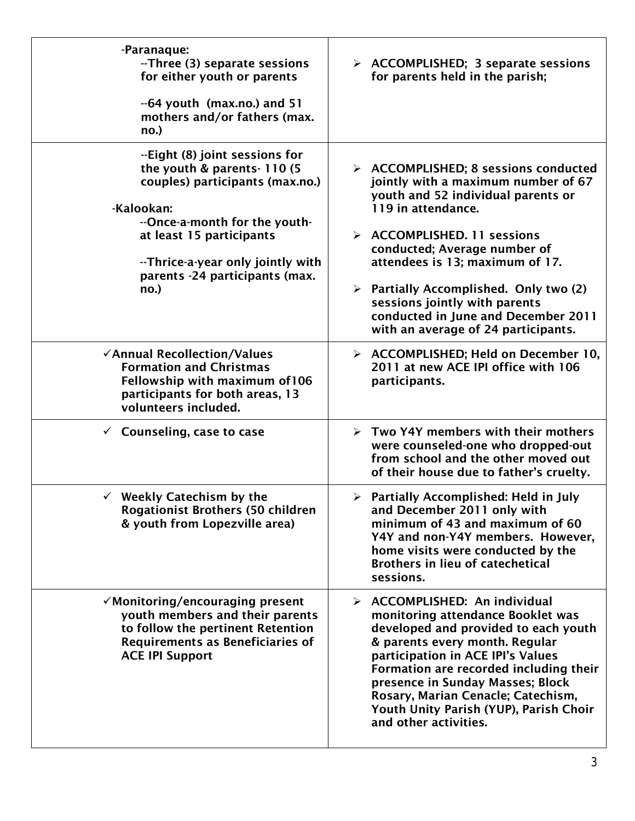| -Paranaque:<br>--Three (3) separate sessions<br>for either youth or parents<br>--64 youth (max.no.) and 51<br>mothers and/or fathers (max.<br>no.)                                                                                                         | > ACCOMPLISHED; 3 separate sessions<br>for parents held in the parish;                                                                                                                                                                                                                                                                                                                                                           |
|------------------------------------------------------------------------------------------------------------------------------------------------------------------------------------------------------------------------------------------------------------|----------------------------------------------------------------------------------------------------------------------------------------------------------------------------------------------------------------------------------------------------------------------------------------------------------------------------------------------------------------------------------------------------------------------------------|
| --Eight (8) joint sessions for<br>the youth & parents-110 (5)<br>couples) participants (max.no.)<br>-Kalookan:<br>--Once-a-month for the youth-<br>at least 15 participants<br>--Thrice-a-year only jointly with<br>parents -24 participants (max.<br>no.) | $\triangleright$ ACCOMPLISHED; 8 sessions conducted<br>jointly with a maximum number of 67<br>youth and 52 individual parents or<br>119 in attendance.<br>> ACCOMPLISHED. 11 sessions<br>conducted; Average number of<br>attendees is 13; maximum of 17.<br>$\triangleright$ Partially Accomplished. Only two (2)<br>sessions jointly with parents<br>conducted in June and December 2011<br>with an average of 24 participants. |
| √Annual Recollection/Values<br><b>Formation and Christmas</b><br>Fellowship with maximum of 106<br>participants for both areas, 13<br>volunteers included.                                                                                                 | > ACCOMPLISHED; Held on December 10,<br>2011 at new ACE IPI office with 106<br>participants.                                                                                                                                                                                                                                                                                                                                     |
| $\checkmark$ Counseling, case to case                                                                                                                                                                                                                      | $\triangleright$ Two Y4Y members with their mothers<br>were counseled-one who dropped-out<br>from school and the other moved out<br>of their house due to father's cruelty.                                                                                                                                                                                                                                                      |
| $\checkmark$ Weekly Catechism by the<br><b>Rogationist Brothers (50 children</b><br>& youth from Lopezville area)                                                                                                                                          | $\triangleright$ Partially Accomplished: Held in July<br>and December 2011 only with<br>minimum of 43 and maximum of 60<br>Y4Y and non-Y4Y members. However,<br>home visits were conducted by the<br><b>Brothers in lieu of catechetical</b><br>sessions.                                                                                                                                                                        |
| $\checkmark$ Monitoring/encouraging present<br>youth members and their parents<br>to follow the pertinent Retention<br><b>Requirements as Beneficiaries of</b><br><b>ACE IPI Support</b>                                                                   | $\triangleright$ ACCOMPLISHED: An individual<br>monitoring attendance Booklet was<br>developed and provided to each youth<br>& parents every month. Regular<br>participation in ACE IPI's Values<br>Formation are recorded including their<br>presence in Sunday Masses; Block<br>Rosary, Marian Cenacle; Catechism,<br>Youth Unity Parish (YUP), Parish Choir<br>and other activities.                                          |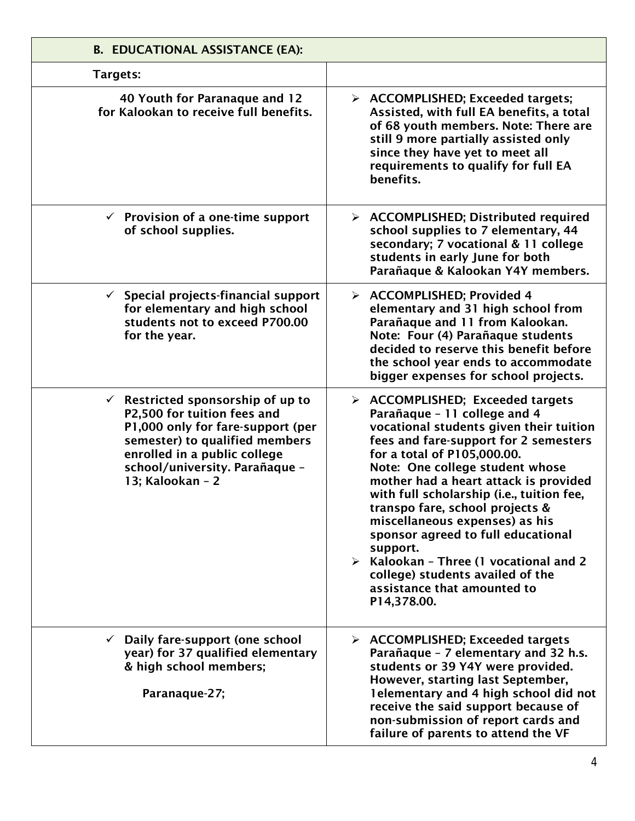| <b>B. EDUCATIONAL ASSISTANCE (EA):</b>                                                                                                                                                                                                   |                                                                                                                                                                                                                                                                                                                                                                                                                                                                                                                                                                                               |
|------------------------------------------------------------------------------------------------------------------------------------------------------------------------------------------------------------------------------------------|-----------------------------------------------------------------------------------------------------------------------------------------------------------------------------------------------------------------------------------------------------------------------------------------------------------------------------------------------------------------------------------------------------------------------------------------------------------------------------------------------------------------------------------------------------------------------------------------------|
| Targets:                                                                                                                                                                                                                                 |                                                                                                                                                                                                                                                                                                                                                                                                                                                                                                                                                                                               |
| 40 Youth for Paranaque and 12<br>for Kalookan to receive full benefits.                                                                                                                                                                  | $\triangleright$ ACCOMPLISHED; Exceeded targets;<br>Assisted, with full EA benefits, a total<br>of 68 youth members. Note: There are<br>still 9 more partially assisted only<br>since they have yet to meet all<br>requirements to qualify for full EA<br>benefits.                                                                                                                                                                                                                                                                                                                           |
| $\checkmark$ Provision of a one-time support<br>of school supplies.                                                                                                                                                                      | $\triangleright$ ACCOMPLISHED; Distributed required<br>school supplies to 7 elementary, 44<br>secondary; 7 vocational & 11 college<br>students in early June for both<br>Parañaque & Kalookan Y4Y members.                                                                                                                                                                                                                                                                                                                                                                                    |
| $\checkmark$ Special projects-financial support<br>for elementary and high school<br>students not to exceed P700.00<br>for the year.                                                                                                     | > ACCOMPLISHED; Provided 4<br>elementary and 31 high school from<br>Parañaque and 11 from Kalookan.<br>Note: Four (4) Parañaque students<br>decided to reserve this benefit before<br>the school year ends to accommodate<br>bigger expenses for school projects.                                                                                                                                                                                                                                                                                                                             |
| $\checkmark$ Restricted sponsorship of up to<br>P2,500 for tuition fees and<br>P1,000 only for fare-support (per<br>semester) to qualified members<br>enrolled in a public college<br>school/university. Parañaque -<br>13; Kalookan - 2 | $\triangleright$ ACCOMPLISHED; Exceeded targets<br>Parañaque - 11 college and 4<br>vocational students given their tuition<br>fees and fare-support for 2 semesters<br>for a total of P105,000.00.<br>Note: One college student whose<br>mother had a heart attack is provided<br>with full scholarship (i.e., tuition fee,<br>transpo fare, school projects &<br>miscellaneous expenses) as his<br>sponsor agreed to full educational<br>support.<br>$\triangleright$ Kalookan - Three (1 vocational and 2<br>college) students availed of the<br>assistance that amounted to<br>P14,378.00. |
| $\checkmark$ Daily fare-support (one school<br>year) for 37 qualified elementary<br>& high school members;<br>Paranaque-27;                                                                                                              | $\triangleright$ ACCOMPLISHED; Exceeded targets<br>Parañaque - 7 elementary and 32 h.s.<br>students or 39 Y4Y were provided.<br>However, starting last September,<br>1 elementary and 4 high school did not<br>receive the said support because of<br>non-submission of report cards and<br>failure of parents to attend the VF                                                                                                                                                                                                                                                               |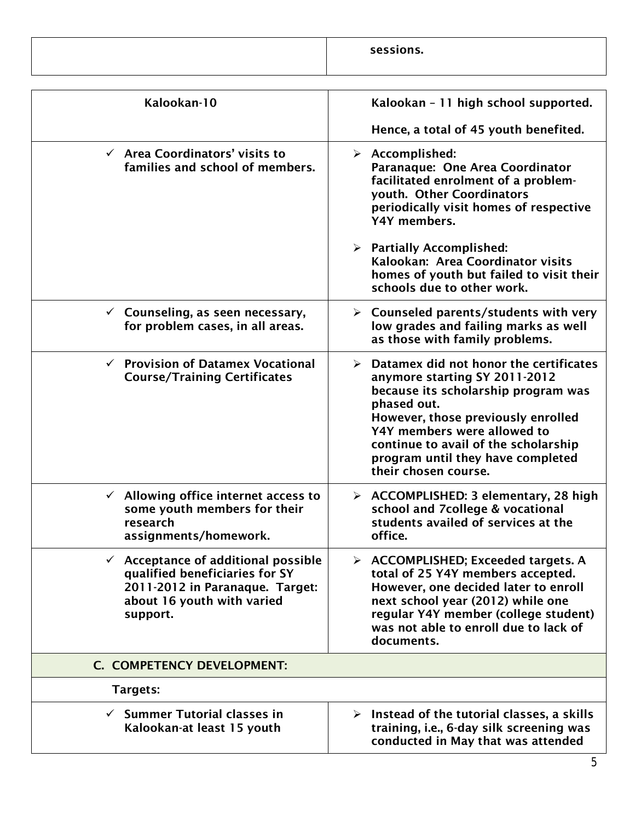| sessions<br>. כווטוכ<br>コヒュ |
|-----------------------------|
|                             |

| Kalookan - 11 high school supported.                                                                                                                                                                                                                                                                         |
|--------------------------------------------------------------------------------------------------------------------------------------------------------------------------------------------------------------------------------------------------------------------------------------------------------------|
| Hence, a total of 45 youth benefited.                                                                                                                                                                                                                                                                        |
| $\triangleright$ Accomplished:<br>Paranaque: One Area Coordinator<br>facilitated enrolment of a problem-<br>youth. Other Coordinators<br>periodically visit homes of respective<br>Y4Y members.                                                                                                              |
| $\triangleright$ Partially Accomplished:<br>Kalookan: Area Coordinator visits<br>homes of youth but failed to visit their<br>schools due to other work.                                                                                                                                                      |
| $\triangleright$ Counseled parents/students with very<br>low grades and failing marks as well<br>as those with family problems.                                                                                                                                                                              |
| Datamex did not honor the certificates<br>➤<br>anymore starting SY 2011-2012<br>because its scholarship program was<br>phased out.<br>However, those previously enrolled<br>Y4Y members were allowed to<br>continue to avail of the scholarship<br>program until they have completed<br>their chosen course. |
| $\triangleright$ ACCOMPLISHED: 3 elementary, 28 high<br>school and 7college & vocational<br>students availed of services at the<br>office.                                                                                                                                                                   |
| $\triangleright$ ACCOMPLISHED; Exceeded targets. A<br>total of 25 Y4Y members accepted.<br>However, one decided later to enroll<br>next school year (2012) while one<br>regular Y4Y member (college student)<br>was not able to enroll due to lack of<br>documents.                                          |
|                                                                                                                                                                                                                                                                                                              |
|                                                                                                                                                                                                                                                                                                              |
| $\triangleright$ Instead of the tutorial classes, a skills<br>training, i.e., 6-day silk screening was<br>conducted in May that was attended                                                                                                                                                                 |
| $\checkmark$ Acceptance of additional possible                                                                                                                                                                                                                                                               |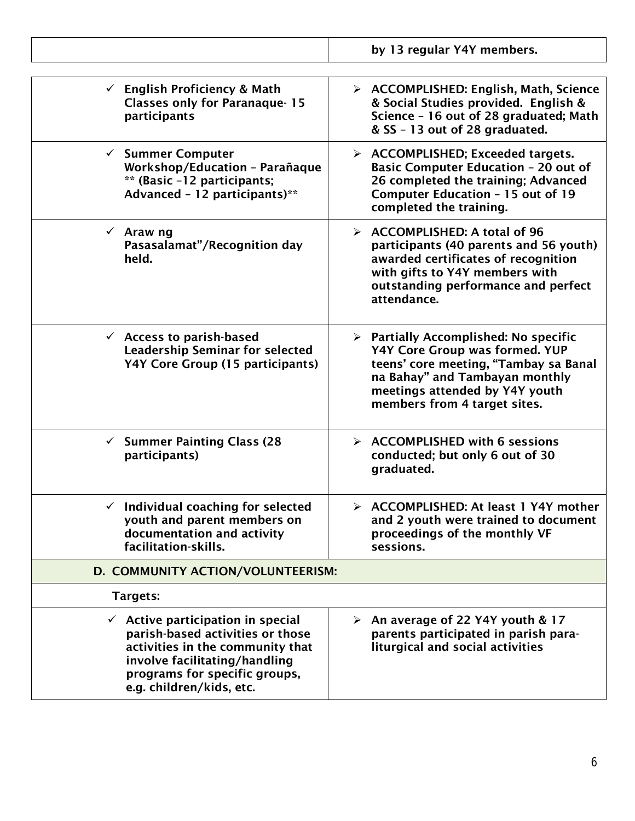|                                                                                                                                                                                                                    | by 13 regular Y4Y members.                                                                                                                                                                                                          |
|--------------------------------------------------------------------------------------------------------------------------------------------------------------------------------------------------------------------|-------------------------------------------------------------------------------------------------------------------------------------------------------------------------------------------------------------------------------------|
|                                                                                                                                                                                                                    |                                                                                                                                                                                                                                     |
| $\checkmark$ English Proficiency & Math<br><b>Classes only for Paranaque-15</b><br>participants                                                                                                                    | $\triangleright$ ACCOMPLISHED: English, Math, Science<br>& Social Studies provided. English &<br>Science - 16 out of 28 graduated; Math<br>& SS - 13 out of 28 graduated.                                                           |
| $\checkmark$ Summer Computer<br>Workshop/Education - Parañaque<br>** (Basic -12 participants;<br>Advanced - 12 participants)**                                                                                     | $\triangleright$ ACCOMPLISHED; Exceeded targets.<br><b>Basic Computer Education - 20 out of</b><br>26 completed the training; Advanced<br>Computer Education - 15 out of 19<br>completed the training.                              |
| $\checkmark$ Araw ng<br>Pasasalamat"/Recognition day<br>held.                                                                                                                                                      | $\triangleright$ ACCOMPLISHED: A total of 96<br>participants (40 parents and 56 youth)<br>awarded certificates of recognition<br>with gifts to Y4Y members with<br>outstanding performance and perfect<br>attendance.               |
| $\checkmark$ Access to parish-based<br><b>Leadership Seminar for selected</b><br>Y4Y Core Group (15 participants)                                                                                                  | $\triangleright$ Partially Accomplished: No specific<br>Y4Y Core Group was formed. YUP<br>teens' core meeting, "Tambay sa Banal<br>na Bahay" and Tambayan monthly<br>meetings attended by Y4Y youth<br>members from 4 target sites. |
| <b>Summer Painting Class (28</b><br>$\checkmark$<br>participants)                                                                                                                                                  | $\triangleright$ ACCOMPLISHED with 6 sessions<br>conducted; but only 6 out of 30<br>graduated.                                                                                                                                      |
| Individual coaching for selected<br>youth and parent members on<br>documentation and activity<br>facilitation-skills.                                                                                              | > ACCOMPLISHED: At least 1 Y4Y mother<br>and 2 youth were trained to document<br>proceedings of the monthly VF<br>sessions.                                                                                                         |
| D. COMMUNITY ACTION/VOLUNTEERISM:                                                                                                                                                                                  |                                                                                                                                                                                                                                     |
| Targets:                                                                                                                                                                                                           |                                                                                                                                                                                                                                     |
| $\checkmark$ Active participation in special<br>parish-based activities or those<br>activities in the community that<br>involve facilitating/handling<br>programs for specific groups,<br>e.g. children/kids, etc. | $\triangleright$ An average of 22 Y4Y youth & 17<br>parents participated in parish para-<br>liturgical and social activities                                                                                                        |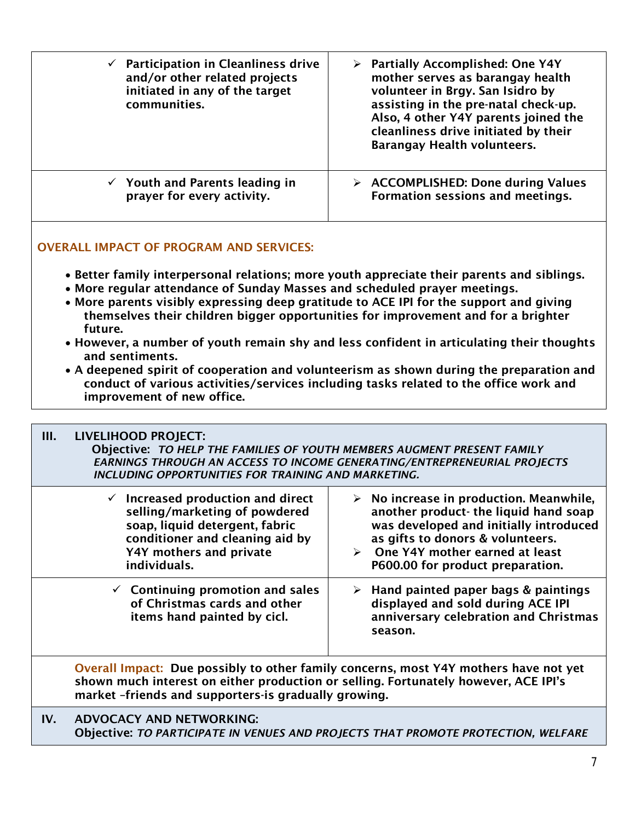| $\checkmark$ Participation in Cleanliness drive<br>and/or other related projects<br>initiated in any of the target<br>communities.                                                                                                                                                                                                                     | $\triangleright$ Partially Accomplished: One Y4Y<br>mother serves as barangay health<br>volunteer in Brgy. San Isidro by<br>assisting in the pre-natal check-up.<br>Also, 4 other Y4Y parents joined the<br>cleanliness drive initiated by their<br><b>Barangay Health volunteers.</b> |
|--------------------------------------------------------------------------------------------------------------------------------------------------------------------------------------------------------------------------------------------------------------------------------------------------------------------------------------------------------|----------------------------------------------------------------------------------------------------------------------------------------------------------------------------------------------------------------------------------------------------------------------------------------|
| $\checkmark$ Youth and Parents leading in<br>prayer for every activity.                                                                                                                                                                                                                                                                                | $\triangleright$ ACCOMPLISHED: Done during Values<br>Formation sessions and meetings.                                                                                                                                                                                                  |
| <b>OVERALL IMPACT OF PROGRAM AND SERVICES:</b>                                                                                                                                                                                                                                                                                                         |                                                                                                                                                                                                                                                                                        |
| • Better family interpersonal relations; more youth appreciate their parents and siblings.<br>• More regular attendance of Sunday Masses and scheduled prayer meetings.<br>• More parents visibly expressing deep gratitude to ACE IPI for the support and giving<br>themselves their children bigger opportunities for improvement and for a brighter |                                                                                                                                                                                                                                                                                        |
| future.                                                                                                                                                                                                                                                                                                                                                |                                                                                                                                                                                                                                                                                        |
| and sentiments.                                                                                                                                                                                                                                                                                                                                        | • However, a number of youth remain shy and less confident in articulating their thoughts                                                                                                                                                                                              |
| improvement of new office.                                                                                                                                                                                                                                                                                                                             | • A deepened spirit of cooperation and volunteerism as shown during the preparation and<br>conduct of various activities/services including tasks related to the office work and                                                                                                       |
|                                                                                                                                                                                                                                                                                                                                                        |                                                                                                                                                                                                                                                                                        |
| III.<br><b>LIVELIHOOD PROJECT:</b><br>Objective: TO HELP THE FAMILIES OF YOUTH MEMBERS AUGMENT PRESENT FAMILY<br>INCLUDING OPPORTUNITIES FOR TRAINING AND MARKETING.                                                                                                                                                                                   | <b>EARNINGS THROUGH AN ACCESS TO INCOME GENERATING/ENTREPRENEURIAL PROJECTS</b>                                                                                                                                                                                                        |
| $\checkmark$ Increased production and direct<br>selling/marketing of powdered<br>soap, liquid detergent, fabric<br>conditioner and cleaning aid by<br>Y4Y mothers and private<br>individuals.                                                                                                                                                          | $\triangleright$ No increase in production. Meanwhile,<br>another product- the liquid hand soap<br>was developed and initially introduced<br>as gifts to donors & volunteers.<br>One Y4Y mother earned at least<br>➤<br>P600.00 for product preparation.                               |
| $\checkmark$ Continuing promotion and sales<br>of Christmas cards and other<br>items hand painted by cicl.                                                                                                                                                                                                                                             | Hand painted paper bags & paintings<br>➤<br>displayed and sold during ACE IPI<br>anniversary celebration and Christmas<br>season.                                                                                                                                                      |
| shown much interest on either production or selling. Fortunately however, ACE IPI's<br>market -friends and supporters-is gradually growing.                                                                                                                                                                                                            | Overall Impact: Due possibly to other family concerns, most Y4Y mothers have not yet                                                                                                                                                                                                   |
| <b>ADVOCACY AND NETWORKING:</b><br>IV.                                                                                                                                                                                                                                                                                                                 |                                                                                                                                                                                                                                                                                        |

Objective: *TO PARTICIPATE IN VENUES AND PROJECTS THAT PROMOTE PROTECTION, WELFARE*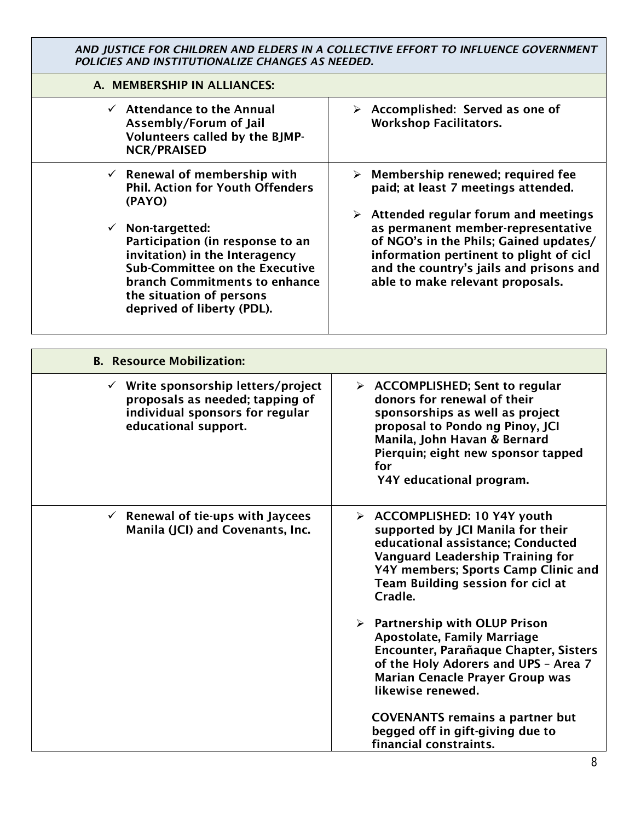*AND JUSTICE FOR CHILDREN AND ELDERS IN A COLLECTIVE EFFORT TO INFLUENCE GOVERNMENT POLICIES AND INSTITUTIONALIZE CHANGES AS NEEDED.*

| A. MEMBERSHIP IN ALLIANCES:                                                                                                                                                                                                                                                                                                                  |                                                                                                                                                                                                                                                                                                                                                |
|----------------------------------------------------------------------------------------------------------------------------------------------------------------------------------------------------------------------------------------------------------------------------------------------------------------------------------------------|------------------------------------------------------------------------------------------------------------------------------------------------------------------------------------------------------------------------------------------------------------------------------------------------------------------------------------------------|
| $\checkmark$ Attendance to the Annual<br>Assembly/Forum of Jail<br>Volunteers called by the BJMP-<br><b>NCR/PRAISED</b>                                                                                                                                                                                                                      | $\triangleright$ Accomplished: Served as one of<br><b>Workshop Facilitators.</b>                                                                                                                                                                                                                                                               |
| $\checkmark$ Renewal of membership with<br><b>Phil. Action for Youth Offenders</b><br>(PAYO)<br>$\checkmark$ Non-targetted:<br>Participation (in response to an<br>invitation) in the Interagency<br><b>Sub-Committee on the Executive</b><br><b>branch Commitments to enhance</b><br>the situation of persons<br>deprived of liberty (PDL). | $\triangleright$ Membership renewed; required fee<br>paid; at least 7 meetings attended.<br>Attended regular forum and meetings<br>➤<br>as permanent member-representative<br>of NGO's in the Phils; Gained updates/<br>information pertinent to plight of cicl<br>and the country's jails and prisons and<br>able to make relevant proposals. |
|                                                                                                                                                                                                                                                                                                                                              |                                                                                                                                                                                                                                                                                                                                                |
| <b>B. Resource Mobilization:</b>                                                                                                                                                                                                                                                                                                             |                                                                                                                                                                                                                                                                                                                                                |
| $\checkmark$ Write sponsorship letters/project<br>proposals as needed; tapping of<br>individual sponsors for regular<br>educational support.                                                                                                                                                                                                 | $\triangleright$ ACCOMPLISHED; Sent to regular<br>donors for renewal of their<br>sponsorships as well as project<br>proposal to Pondo ng Pinoy, JCI<br>Manila, John Havan & Bernard<br>Pierquin; eight new sponsor tapped<br>for<br>Y4Y educational program.                                                                                   |
| $\checkmark$ Renewal of tie-ups with Jaycees<br>Manila (JCI) and Covenants, Inc.                                                                                                                                                                                                                                                             | > ACCOMPLISHED: 10 Y4Y youth<br>supported by JCI Manila for their<br>educational assistance; Conducted<br><b>Vanguard Leadership Training for</b><br>Y4Y members; Sports Camp Clinic and<br>Team Building session for cicl at<br>Cradle.                                                                                                       |
|                                                                                                                                                                                                                                                                                                                                              | $\triangleright$ Partnership with OLUP Prison<br><b>Apostolate, Family Marriage</b><br>Encounter, Parañaque Chapter, Sisters<br>of the Holy Adorers and UPS - Area 7<br><b>Marian Cenacle Prayer Group was</b><br>likewise renewed.<br><b>COVENANTS remains a partner but</b>                                                                  |
|                                                                                                                                                                                                                                                                                                                                              | begged off in gift-giving due to<br>financial constraints.                                                                                                                                                                                                                                                                                     |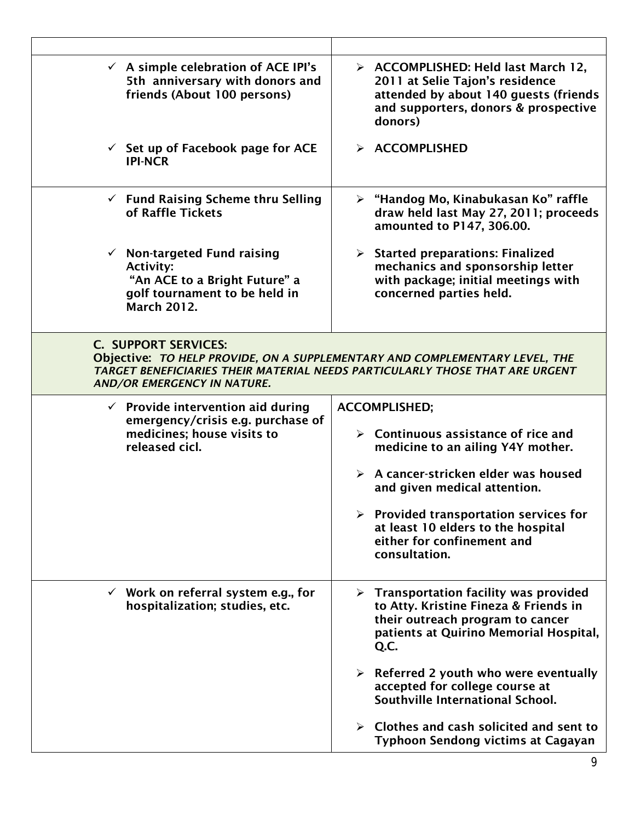| $\checkmark$ A simple celebration of ACE IPI's<br>5th anniversary with donors and<br>friends (About 100 persons)                                   | $\triangleright$ ACCOMPLISHED: Held last March 12,<br>2011 at Selie Tajon's residence<br>attended by about 140 guests (friends<br>and supporters, donors & prospective<br>donors)    |
|----------------------------------------------------------------------------------------------------------------------------------------------------|--------------------------------------------------------------------------------------------------------------------------------------------------------------------------------------|
| $\checkmark$ Set up of Facebook page for ACE<br><b>IPI-NCR</b>                                                                                     | > ACCOMPLISHED                                                                                                                                                                       |
| $\checkmark$ Fund Raising Scheme thru Selling<br>of Raffle Tickets                                                                                 | $\triangleright$ "Handog Mo, Kinabukasan Ko" raffle<br>draw held last May 27, 2011; proceeds<br>amounted to P147, 306.00.                                                            |
| $\checkmark$ Non-targeted Fund raising<br><b>Activity:</b><br>"An ACE to a Bright Future" a<br>golf tournament to be held in<br><b>March 2012.</b> | $\triangleright$ Started preparations: Finalized<br>mechanics and sponsorship letter<br>with package; initial meetings with<br>concerned parties held.                               |
| <b>C. SUPPORT SERVICES:</b><br><b>AND/OR EMERGENCY IN NATURE.</b>                                                                                  | Objective: TO HELP PROVIDE, ON A SUPPLEMENTARY AND COMPLEMENTARY LEVEL, THE<br>TARGET BENEFICIARIES THEIR MATERIAL NEEDS PARTICULARLY THOSE THAT ARE URGENT                          |
|                                                                                                                                                    |                                                                                                                                                                                      |
| $\checkmark$ Provide intervention aid during                                                                                                       | <b>ACCOMPLISHED;</b>                                                                                                                                                                 |
| emergency/crisis e.g. purchase of<br>medicines; house visits to<br>released cicl.                                                                  | $\triangleright$ Continuous assistance of rice and<br>medicine to an ailing Y4Y mother.                                                                                              |
|                                                                                                                                                    | $\triangleright$ A cancer-stricken elder was housed<br>and given medical attention.                                                                                                  |
|                                                                                                                                                    | $\triangleright$ Provided transportation services for<br>at least 10 elders to the hospital<br>either for confinement and<br>consultation.                                           |
| $\checkmark$ Work on referral system e.g., for<br>hospitalization; studies, etc.                                                                   | $\triangleright$ Transportation facility was provided<br>to Atty. Kristine Fineza & Friends in<br>their outreach program to cancer<br>patients at Quirino Memorial Hospital,<br>Q.C. |
|                                                                                                                                                    | $\triangleright$ Referred 2 youth who were eventually<br>accepted for college course at<br>Southville International School.                                                          |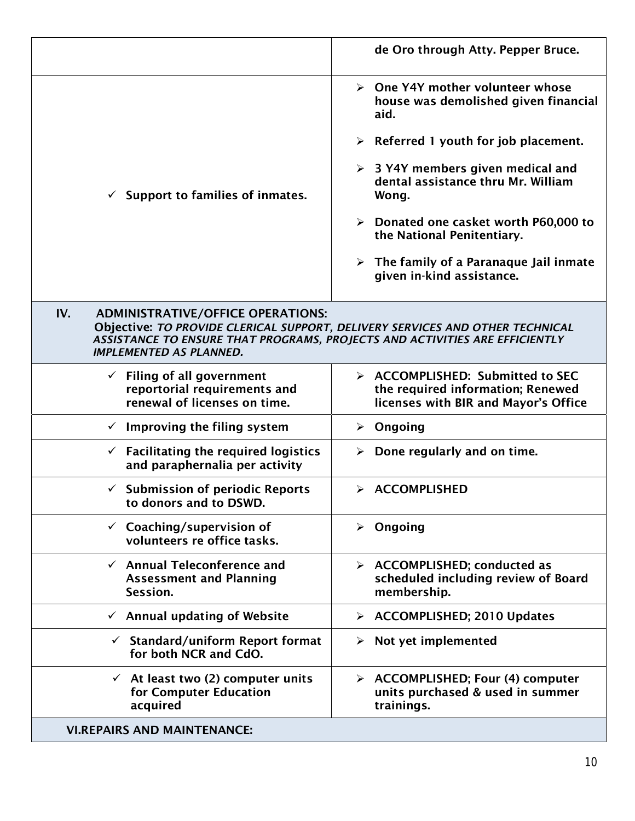|                                                                                                                                                                                                                                                   | de Oro through Atty. Pepper Bruce.                                                                            |
|---------------------------------------------------------------------------------------------------------------------------------------------------------------------------------------------------------------------------------------------------|---------------------------------------------------------------------------------------------------------------|
| Support to families of inmates.                                                                                                                                                                                                                   | $\triangleright$ One Y4Y mother volunteer whose<br>house was demolished given financial<br>aid.               |
|                                                                                                                                                                                                                                                   | $\triangleright$ Referred 1 youth for job placement.                                                          |
|                                                                                                                                                                                                                                                   | $\geq$ 3 Y4Y members given medical and<br>dental assistance thru Mr. William<br>Wong.                         |
|                                                                                                                                                                                                                                                   | $\triangleright$ Donated one casket worth P60,000 to<br>the National Penitentiary.                            |
|                                                                                                                                                                                                                                                   | $\triangleright$ The family of a Paranaque Jail inmate<br>given in-kind assistance.                           |
| IV.<br><b>ADMINISTRATIVE/OFFICE OPERATIONS:</b><br>Objective: TO PROVIDE CLERICAL SUPPORT, DELIVERY SERVICES AND OTHER TECHNICAL<br>ASSISTANCE TO ENSURE THAT PROGRAMS, PROJECTS AND ACTIVITIES ARE EFFICIENTLY<br><b>IMPLEMENTED AS PLANNED.</b> |                                                                                                               |
| $\checkmark$ Filing of all government<br>reportorial requirements and<br>renewal of licenses on time.                                                                                                                                             | > ACCOMPLISHED: Submitted to SEC<br>the required information; Renewed<br>licenses with BIR and Mayor's Office |
| $\checkmark$ Improving the filing system                                                                                                                                                                                                          | Ongoing<br>➤                                                                                                  |
| $\checkmark$ Facilitating the required logistics<br>and paraphernalia per activity                                                                                                                                                                | Done regularly and on time.<br>➤                                                                              |
| $\checkmark$ Submission of periodic Reports<br>to donors and to DSWD.                                                                                                                                                                             | > ACCOMPLISHED                                                                                                |
| $\checkmark$ Coaching/supervision of<br>volunteers re office tasks.                                                                                                                                                                               | $\triangleright$ Ongoing                                                                                      |
| $\checkmark$ Annual Teleconference and<br><b>Assessment and Planning</b><br>Session.                                                                                                                                                              | $\triangleright$ ACCOMPLISHED; conducted as<br>scheduled including review of Board<br>membership.             |
| $\checkmark$ Annual updating of Website                                                                                                                                                                                                           | > ACCOMPLISHED; 2010 Updates                                                                                  |
| $\checkmark$ Standard/uniform Report format<br>for both NCR and CdO.                                                                                                                                                                              | Not yet implemented<br>≻                                                                                      |
| $\checkmark$ At least two (2) computer units<br>for Computer Education<br>acquired                                                                                                                                                                | > ACCOMPLISHED; Four (4) computer<br>units purchased & used in summer<br>trainings.                           |
| <b>VI.REPAIRS AND MAINTENANCE:</b>                                                                                                                                                                                                                |                                                                                                               |